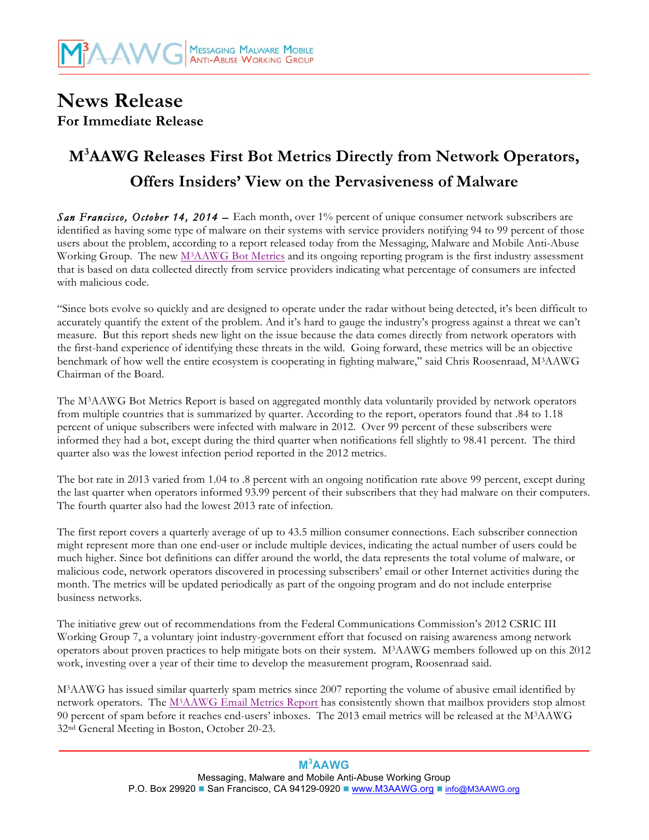## **News Release For Immediate Release**

# **M3 AAWG Releases First Bot Metrics Directly from Network Operators, Offers Insiders' View on the Pervasiveness of Malware**

**San Francisco, October 14, 2014 –** Each month, over 1% percent of unique consumer network subscribers are identified as having some type of malware on their systems with service providers notifying 94 to 99 percent of those users about the problem, according to a report released today from the Messaging, Malware and Mobile Anti-Abuse Working Group. The new M<sup>3</sup>AAWG Bot Metrics and its ongoing reporting program is the first industry assessment that is based on data collected directly from service providers indicating what percentage of consumers are infected with malicious code.

"Since bots evolve so quickly and are designed to operate under the radar without being detected, it's been difficult to accurately quantify the extent of the problem. And it's hard to gauge the industry's progress against a threat we can't measure. But this report sheds new light on the issue because the data comes directly from network operators with the first-hand experience of identifying these threats in the wild. Going forward, these metrics will be an objective benchmark of how well the entire ecosystem is cooperating in fighting malware," said Chris Roosenraad, M3AAWG Chairman of the Board.

The M3AAWG Bot Metrics Report is based on aggregated monthly data voluntarily provided by network operators from multiple countries that is summarized by quarter. According to the report, operators found that .84 to 1.18 percent of unique subscribers were infected with malware in 2012. Over 99 percent of these subscribers were informed they had a bot, except during the third quarter when notifications fell slightly to 98.41 percent. The third quarter also was the lowest infection period reported in the 2012 metrics.

The bot rate in 2013 varied from 1.04 to .8 percent with an ongoing notification rate above 99 percent, except during the last quarter when operators informed 93.99 percent of their subscribers that they had malware on their computers. The fourth quarter also had the lowest 2013 rate of infection.

The first report covers a quarterly average of up to 43.5 million consumer connections. Each subscriber connection might represent more than one end-user or include multiple devices, indicating the actual number of users could be much higher. Since bot definitions can differ around the world, the data represents the total volume of malware, or malicious code, network operators discovered in processing subscribers' email or other Internet activities during the month. The metrics will be updated periodically as part of the ongoing program and do not include enterprise business networks.

The initiative grew out of recommendations from the Federal Communications Commission's 2012 CSRIC III Working Group 7, a voluntary joint industry-government effort that focused on raising awareness among network operators about proven practices to help mitigate bots on their system. M3AAWG members followed up on this 2012 work, investing over a year of their time to develop the measurement program, Roosenraad said.

M3AAWG has issued similar quarterly spam metrics since 2007 reporting the volume of abusive email identified by network operators. The [M3AAWG Email Metrics Report](http://www.m3aawg.org/email_and_bot_metrics_report) has consistently shown that mailbox providers stop almost 90 percent of spam before it reaches end-users' inboxes. The 2013 email metrics will be released at the M3AAWG 32nd General Meeting in Boston, October 20-23.